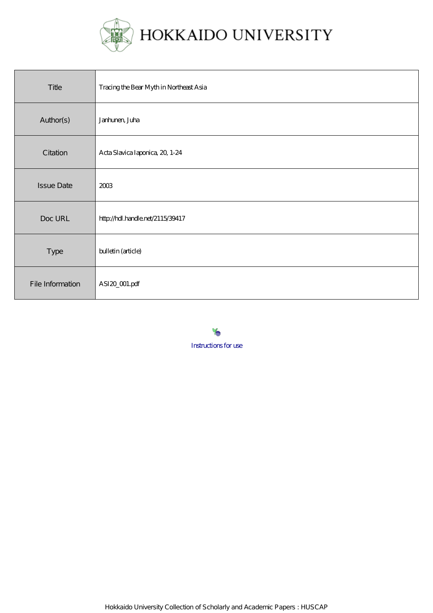

| Title             | Tracing the Bear Myth in Northeast Asia |
|-------------------|-----------------------------------------|
| Author(s)         | Janhunen, Juha                          |
| Citation          | Acta Slavica Iaponica, 20, 1-24         |
| <b>Issue Date</b> | 2003                                    |
| Doc URL           | http://hdl.handle.net/2115/39417        |
| Type              | bulletin (article)                      |
| File Information  | ASI20_001.pdf                           |

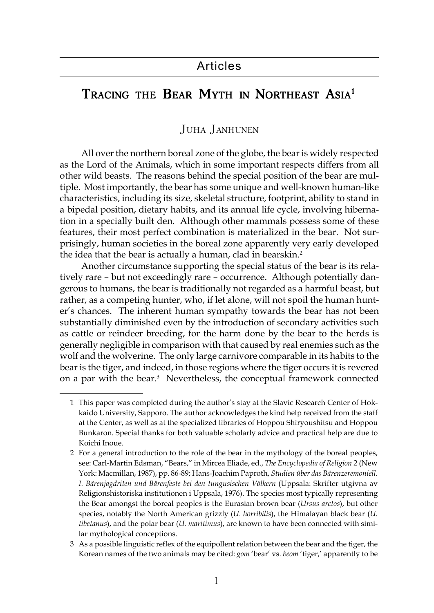# TRACING THE BEAR MYTH IN NORTHEAST ASIA<sup>1</sup>

## JUHA JANHUNEN

All over the northern boreal zone of the globe, the bear is widely respected as the Lord of the Animals, which in some important respects differs from all other wild beasts. The reasons behind the special position of the bear are multiple. Most importantly, the bear has some unique and well-known human-like characteristics, including its size, skeletal structure, footprint, ability to stand in a bipedal position, dietary habits, and its annual life cycle, involving hibernation in a specially built den. Although other mammals possess some of these features, their most perfect combination is materialized in the bear. Not surprisingly, human societies in the boreal zone apparently very early developed the idea that the bear is actually a human, clad in bearskin.<sup>2</sup>

Another circumstance supporting the special status of the bear is its relatively rare – but not exceedingly rare – occurrence. Although potentially dangerous to humans, the bear is traditionally not regarded as a harmful beast, but rather, as a competing hunter, who, if let alone, will not spoil the human hunter's chances. The inherent human sympathy towards the bear has not been substantially diminished even by the introduction of secondary activities such as cattle or reindeer breeding, for the harm done by the bear to the herds is generally negligible in comparison with that caused by real enemies such as the wolf and the wolverine. The only large carnivore comparable in its habits to the bear is the tiger, and indeed, in those regions where the tiger occurs it is revered on a par with the bear.<sup>3</sup> Nevertheless, the conceptual framework connected

<sup>1</sup> This paper was completed during the author's stay at the Slavic Research Center of Hokkaido University, Sapporo. The author acknowledges the kind help received from the staff at the Center, as well as at the specialized libraries of Hoppou Shiryoushitsu and Hoppou Bunkaron. Special thanks for both valuable scholarly advice and practical help are due to Koichi Inoue.

<sup>2</sup> For a general introduction to the role of the bear in the mythology of the boreal peoples, see: Carl-Martin Edsman, "Bears," in Mircea Eliade, ed., *The Encyclopedia of Religion* 2 (New York: Macmillan, 1987), pp. 86-89; Hans-Joachim Paproth, *Studien über das Bärenzeremoniell. I. Bärenjagdriten und Bärenfeste bei den tungusischen Völkern* (Uppsala: Skrifter utgivna av Religionshistoriska institutionen i Uppsala, 1976). The species most typically representing the Bear amongst the boreal peoples is the Eurasian brown bear (*Ursus arctos*), but other species, notably the North American grizzly (*U. horribilis*), the Himalayan black bear (*U. tibetanus*), and the polar bear (*U. maritimus*), are known to have been connected with similar mythological conceptions.

<sup>3</sup> As a possible linguistic reflex of the equipollent relation between the bear and the tiger, the Korean names of the two animals may be cited: *gom* 'bear' vs. *beom* 'tiger,' apparently to be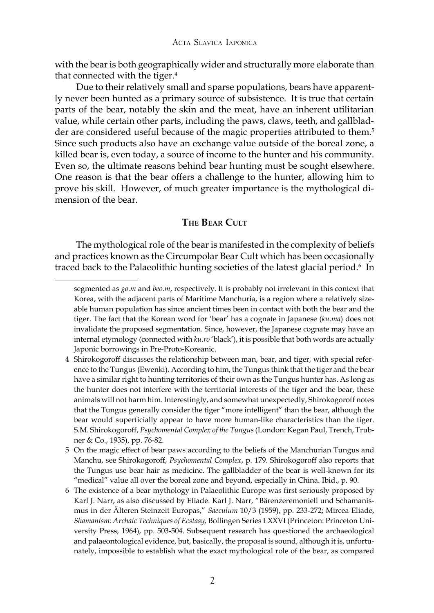with the bear is both geographically wider and structurally more elaborate than that connected with the tiger. $4$ 

Due to their relatively small and sparse populations, bears have apparently never been hunted as a primary source of subsistence. It is true that certain parts of the bear, notably the skin and the meat, have an inherent utilitarian value, while certain other parts, including the paws, claws, teeth, and gallbladder are considered useful because of the magic properties attributed to them.<sup>5</sup> Since such products also have an exchange value outside of the boreal zone, a killed bear is, even today, a source of income to the hunter and his community. Even so, the ultimate reasons behind bear hunting must be sought elsewhere. One reason is that the bear offers a challenge to the hunter, allowing him to prove his skill. However, of much greater importance is the mythological dimension of the bear.

## **THE BEAR CULT**

The mythological role of the bear is manifested in the complexity of beliefs and practices known as the Circumpolar Bear Cult which has been occasionally traced back to the Palaeolithic hunting societies of the latest glacial period.<sup>6</sup> In

- 5 On the magic effect of bear paws according to the beliefs of the Manchurian Tungus and Manchu, see Shirokogoroff, *Psychomental Complex*, p. 179. Shirokogoroff also reports that the Tungus use bear hair as medicine. The gallbladder of the bear is well-known for its "medical" value all over the boreal zone and beyond, especially in China. Ibid., p. 90.
- 6 The existence of a bear mythology in Palaeolithic Europe was first seriously proposed by Karl J. Narr, as also discussed by Eliade. Karl J. Narr, "Bärenzeremoniell und Schamanismus in der Älteren Steinzeit Europas," *Saeculum* 10/3 (1959), pp. 233-272; Mircea Eliade, *Shamanism: Archaic Techniques of Ecstasy,* Bollingen Series LXXVI (Princeton: Princeton University Press, 1964), pp. 503-504. Subsequent research has questioned the archaeological and palaeontological evidence, but, basically, the proposal is sound, although it is, unfortunately, impossible to establish what the exact mythological role of the bear, as compared

segmented as *go.m* and *beo.m*, respectively. It is probably not irrelevant in this context that Korea, with the adjacent parts of Maritime Manchuria, is a region where a relatively sizeable human population has since ancient times been in contact with both the bear and the tiger. The fact that the Korean word for 'bear' has a cognate in Japanese (*ku.ma*) does not invalidate the proposed segmentation. Since, however, the Japanese cognate may have an internal etymology (connected with *ku.ro* 'black'), it is possible that both words are actually Japonic borrowings in Pre-Proto-Koreanic.

<sup>4</sup> Shirokogoroff discusses the relationship between man, bear, and tiger, with special reference to the Tungus (Ewenki). According to him, the Tungus think that the tiger and the bear have a similar right to hunting territories of their own as the Tungus hunter has. As long as the hunter does not interfere with the territorial interests of the tiger and the bear, these animals will not harm him. Interestingly, and somewhat unexpectedly, Shirokogoroff notes that the Tungus generally consider the tiger "more intelligent" than the bear, although the bear would superficially appear to have more human-like characteristics than the tiger. S.M. Shirokogoroff, *Psychomental Complex of the Tungus* (London: Kegan Paul, Trench, Trubner & Co., 1935), pp. 76-82.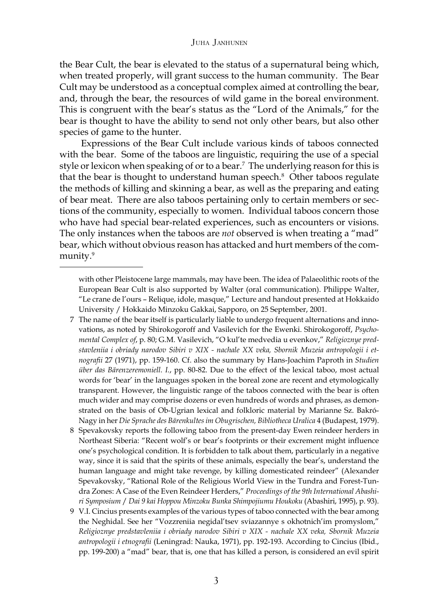the Bear Cult, the bear is elevated to the status of a supernatural being which, when treated properly, will grant success to the human community. The Bear Cult may be understood as a conceptual complex aimed at controlling the bear, and, through the bear, the resources of wild game in the boreal environment. This is congruent with the bear's status as the "Lord of the Animals," for the bear is thought to have the ability to send not only other bears, but also other species of game to the hunter.

Expressions of the Bear Cult include various kinds of taboos connected with the bear. Some of the taboos are linguistic, requiring the use of a special style or lexicon when speaking of or to a bear.<sup>7</sup> The underlying reason for this is that the bear is thought to understand human speech.<sup>8</sup> Other taboos regulate the methods of killing and skinning a bear, as well as the preparing and eating of bear meat. There are also taboos pertaining only to certain members or sections of the community, especially to women. Individual taboos concern those who have had special bear-related experiences, such as encounters or visions. The only instances when the taboos are *not* observed is when treating a "mad" bear, which without obvious reason has attacked and hurt members of the community.<sup>9</sup>

- 7 The name of the bear itself is particularly liable to undergo frequent alternations and innovations, as noted by Shirokogoroff and Vasilevich for the Ewenki. Shirokogoroff, *Psychomental Complex of*, p. 80; G.M. Vasilevich, "O kul'te medvedia u evenkov," *Religioznye predstavleniia i obriady narodov Sibiri v XIX - nachale XX veka, Sbornik Muzeia antropologii i etnografii* 27 (1971), pp. 159-160. Cf. also the summary by Hans-Joachim Paproth in *Studien über das Bärenzeremoniell. I.*, pp. 80-82. Due to the effect of the lexical taboo, most actual words for 'bear' in the languages spoken in the boreal zone are recent and etymologically transparent. However, the linguistic range of the taboos connected with the bear is often much wider and may comprise dozens or even hundreds of words and phrases, as demonstrated on the basis of Ob-Ugrian lexical and folkloric material by Marianne Sz. Bakró-Nagy in her *Die Sprache des Bärenkultes im Obugrischen, Bibliotheca Uralica* 4 (Budapest, 1979).
- 8 Spevakovsky reports the following taboo from the present-day Ewen reindeer herders in Northeast Siberia: "Recent wolf's or bear's footprints or their excrement might influence one's psychological condition. It is forbidden to talk about them, particularly in a negative way, since it is said that the spirits of these animals, especially the bear's, understand the human language and might take revenge, by killing domesticated reindeer" (Alexander Spevakovsky, "Rational Role of the Religious World View in the Tundra and Forest-Tundra Zones: A Case of the Even Reindeer Herders," *Proceedings of the 9th International Abashiri Symposium* / *Dai 9 kai Hoppou Minzoku Bunka Shimpojiumu Houkoku* (Abashiri, 1995), p. 93).
- 9 V.I. Cincius presents examples of the various types of taboo connected with the bear among the Neghidal. See her "Vozzreniia negidal'tsev sviazannye s okhotnich'im promyslom," *Religioznye predstavleniia i obriady narodov Sibiri v XIX - nachale XX veka, Sbornik Muzeia antropologii i etnografii* (Leningrad: Nauka, 1971), pp. 192-193. According to Cincius (Ibid., pp. 199-200) a "mad" bear, that is, one that has killed a person, is considered an evil spirit

with other Pleistocene large mammals, may have been. The idea of Palaeolithic roots of the European Bear Cult is also supported by Walter (oral communication). Philippe Walter, "Le crane de l'ours – Relique, idole, masque," Lecture and handout presented at Hokkaido University / Hokkaido Minzoku Gakkai, Sapporo, on 25 September, 2001.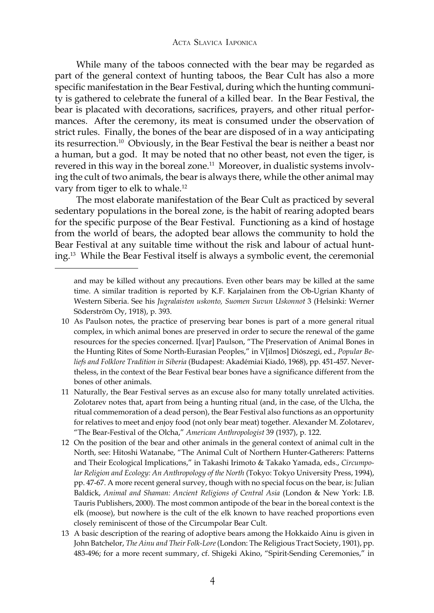While many of the taboos connected with the bear may be regarded as part of the general context of hunting taboos, the Bear Cult has also a more specific manifestation in the Bear Festival, during which the hunting community is gathered to celebrate the funeral of a killed bear. In the Bear Festival, the bear is placated with decorations, sacrifices, prayers, and other ritual performances. After the ceremony, its meat is consumed under the observation of strict rules. Finally, the bones of the bear are disposed of in a way anticipating its resurrection.10 Obviously, in the Bear Festival the bear is neither a beast nor a human, but a god. It may be noted that no other beast, not even the tiger, is revered in this way in the boreal zone.<sup>11</sup> Moreover, in dualistic systems involving the cult of two animals, the bear is always there, while the other animal may vary from tiger to elk to whale.<sup>12</sup>

The most elaborate manifestation of the Bear Cult as practiced by several sedentary populations in the boreal zone, is the habit of rearing adopted bears for the specific purpose of the Bear Festival. Functioning as a kind of hostage from the world of bears, the adopted bear allows the community to hold the Bear Festival at any suitable time without the risk and labour of actual hunting.13 While the Bear Festival itself is always a symbolic event, the ceremonial

and may be killed without any precautions. Even other bears may be killed at the same time. A similar tradition is reported by K.F. Karjalainen from the Ob-Ugrian Khanty of Western Siberia. See his *Jugralaisten uskonto, Suomen Suvun Uskonnot* 3 (Helsinki: Werner Söderström Oy, 1918), p. 393.

<sup>10</sup> As Paulson notes, the practice of preserving bear bones is part of a more general ritual complex, in which animal bones are preserved in order to secure the renewal of the game resources for the species concerned. I[var] Paulson, "The Preservation of Animal Bones in the Hunting Rites of Some North-Eurasian Peoples," in V[ilmos] Diószegi, ed., *Popular Beliefs and Folklore Tradition in Siberia* (Budapest: Akadémiai Kiadó, 1968), pp. 451-457. Nevertheless, in the context of the Bear Festival bear bones have a significance different from the bones of other animals.

<sup>11</sup> Naturally, the Bear Festival serves as an excuse also for many totally unrelated activities. Zolotarev notes that, apart from being a hunting ritual (and, in the case, of the Ulcha, the ritual commemoration of a dead person), the Bear Festival also functions as an opportunity for relatives to meet and enjoy food (not only bear meat) together. Alexander M. Zolotarev, "The Bear-Festival of the Olcha," *American Anthropologist* 39 (1937), p. 122.

<sup>12</sup> On the position of the bear and other animals in the general context of animal cult in the North, see: Hitoshi Watanabe, "The Animal Cult of Northern Hunter-Gatherers: Patterns and Their Ecological Implications," in Takashi Irimoto & Takako Yamada, eds., *Circumpolar Religion and Ecology: An Anthropology of the North* (Tokyo: Tokyo University Press, 1994), pp. 47-67. A more recent general survey, though with no special focus on the bear, is: Julian Baldick, *Animal and Shaman: Ancient Religions of Central Asia* (London & New York: I.B. Tauris Publishers, 2000). The most common antipode of the bear in the boreal context is the elk (moose), but nowhere is the cult of the elk known to have reached proportions even closely reminiscent of those of the Circumpolar Bear Cult.

<sup>13</sup> A basic description of the rearing of adoptive bears among the Hokkaido Ainu is given in John Batchelor, *The Ainu and Their Folk-Lore* (London: The Religious Tract Society, 1901), pp. 483-496; for a more recent summary, cf. Shigeki Akino, "Spirit-Sending Ceremonies," in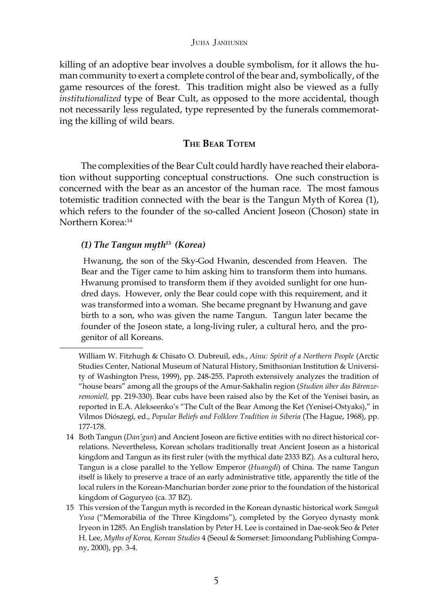killing of an adoptive bear involves a double symbolism, for it allows the human community to exert a complete control of the bear and, symbolically, of the game resources of the forest. This tradition might also be viewed as a fully *institutionalized* type of Bear Cult, as opposed to the more accidental, though not necessarily less regulated, type represented by the funerals commemorating the killing of wild bears.

## **THE BEAR TOTEM**

The complexities of the Bear Cult could hardly have reached their elaboration without supporting conceptual constructions. One such construction is concerned with the bear as an ancestor of the human race. The most famous totemistic tradition connected with the bear is the Tangun Myth of Korea (1), which refers to the founder of the so-called Ancient Joseon (Choson) state in Northern Korea:14

## *(1) The Tangun myth15 (Korea)*

Hwanung, the son of the Sky-God Hwanin, descended from Heaven. The Bear and the Tiger came to him asking him to transform them into humans. Hwanung promised to transform them if they avoided sunlight for one hundred days. However, only the Bear could cope with this requirement, and it was transformed into a woman. She became pregnant by Hwanung and gave birth to a son, who was given the name Tangun. Tangun later became the founder of the Joseon state, a long-living ruler, a cultural hero, and the progenitor of all Koreans.

William W. Fitzhugh & Chisato O. Dubreuil, eds., *Ainu: Spirit of a Northern People* (Arctic Studies Center, National Museum of Natural History, Smithsonian Institution & University of Washington Press, 1999), pp. 248-255. Paproth extensively analyzes the tradition of "house bears" among all the groups of the Amur-Sakhalin region (*Studien über das Bärenzeremoniell,* pp. 219-330). Bear cubs have been raised also by the Ket of the Yenisei basin, as reported in E.A. Alekseenko's "The Cult of the Bear Among the Ket (Yenisei-Ostyaks)," in Vilmos Diószegi, ed., *Popular Beliefs and Folklore Tradition in Siberia* (The Hague, 1968), pp. 177-178.

<sup>14</sup> Both Tangun (*Dan'gun*) and Ancient Joseon are fictive entities with no direct historical correlations. Nevertheless, Korean scholars traditionally treat Ancient Joseon as a historical kingdom and Tangun as its first ruler (with the mythical date 2333 BZ). As a cultural hero, Tangun is a close parallel to the Yellow Emperor (*Huangdi*) of China. The name Tangun itself is likely to preserve a trace of an early administrative title, apparently the title of the local rulers in the Korean-Manchurian border zone prior to the foundation of the historical kingdom of Goguryeo (ca. 37 BZ).

<sup>15</sup> This version of the Tangun myth is recorded in the Korean dynastic historical work *Samguk Yusa* ("Memorabilia of the Three Kingdoms"), completed by the Goryeo dynasty monk Iryeon in 1285. An English translation by Peter H. Lee is contained in Dae-seok Seo & Peter H. Lee, *Myths of Korea, Korean Studies* 4 (Seoul & Somerset: Jimoondang Publishing Company, 2000), pp. 3-4.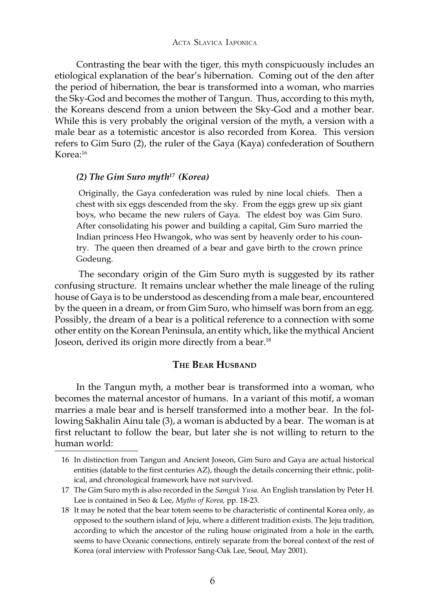#### ACTA SLAVICA IAPONICA

Contrasting the bear with the tiger, this myth conspicuously includes an etiological explanation of the bear's hibernation. Coming out of the den after the period of hibernation, the bear is transformed into a woman, who marries the Sky-God and becomes the mother of Tangun. Thus, according to this myth, the Koreans descend from a union between the Sky-God and a mother bear. While this is very probably the original version of the myth, a version with a male bear as a totemistic ancestor is also recorded from Korea. This version refers to Gim Suro (2), the ruler of the Gaya (Kaya) confederation of Southern Korea:16

## *(2) The Gim Suro myth17 (Korea)*

Originally, the Gaya confederation was ruled by nine local chiefs. Then a chest with six eggs descended from the sky. From the eggs grew up six giant boys, who became the new rulers of Gaya. The eldest boy was Gim Suro. After consolidating his power and building a capital, Gim Suro married the Indian princess Heo Hwangok, who was sent by heavenly order to his country. The queen then dreamed of a bear and gave birth to the crown prince Godeung.

The secondary origin of the Gim Suro myth is suggested by its rather confusing structure. It remains unclear whether the male lineage of the ruling house of Gaya is to be understood as descending from a male bear, encountered by the queen in a dream, or from Gim Suro, who himself was born from an egg. Possibly, the dream of a bear is a political reference to a connection with some other entity on the Korean Peninsula, an entity which, like the mythical Ancient Joseon, derived its origin more directly from a bear.18

#### **THE BEAR HUSBAND**

In the Tangun myth, a mother bear is transformed into a woman, who becomes the maternal ancestor of humans. In a variant of this motif, a woman marries a male bear and is herself transformed into a mother bear. In the following Sakhalin Ainu tale (3), a woman is abducted by a bear. The woman is at first reluctant to follow the bear, but later she is not willing to return to the human world:

<sup>16</sup> In distinction from Tangun and Ancient Joseon, Gim Suro and Gaya are actual historical entities (datable to the first centuries AZ), though the details concerning their ethnic, political, and chronological framework have not survived.

<sup>17</sup> The Gim Suro myth is also recorded in the *Samguk Yusa*. An English translation by Peter H. Lee is contained in Seo & Lee, *Myths of Korea,* pp. 18-23.

<sup>18</sup> It may be noted that the bear totem seems to be characteristic of continental Korea only, as opposed to the southern island of Jeju, where a different tradition exists. The Jeju tradition, according to which the ancestor of the ruling house originated from a hole in the earth, seems to have Oceanic connections, entirely separate from the boreal context of the rest of Korea (oral interview with Professor Sang-Oak Lee, Seoul, May 2001).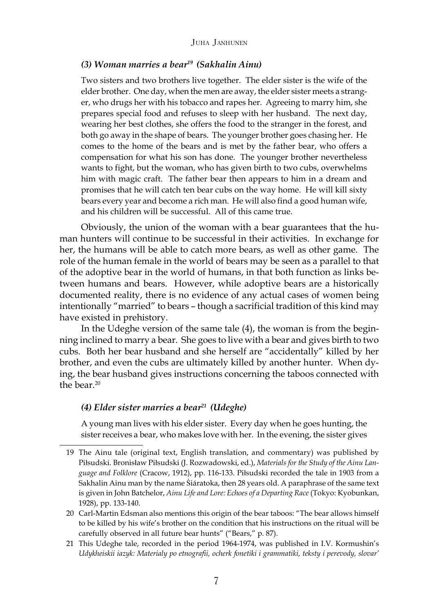#### *(3) Woman marries a bear19 (Sakhalin Ainu)*

Two sisters and two brothers live together. The elder sister is the wife of the elder brother. One day, when the men are away, the elder sister meets a stranger, who drugs her with his tobacco and rapes her. Agreeing to marry him, she prepares special food and refuses to sleep with her husband. The next day, wearing her best clothes, she offers the food to the stranger in the forest, and both go away in the shape of bears. The younger brother goes chasing her. He comes to the home of the bears and is met by the father bear, who offers a compensation for what his son has done. The younger brother nevertheless wants to fight, but the woman, who has given birth to two cubs, overwhelms him with magic craft. The father bear then appears to him in a dream and promises that he will catch ten bear cubs on the way home. He will kill sixty bears every year and become a rich man. He will also find a good human wife, and his children will be successful. All of this came true.

Obviously, the union of the woman with a bear guarantees that the human hunters will continue to be successful in their activities. In exchange for her, the humans will be able to catch more bears, as well as other game. The role of the human female in the world of bears may be seen as a parallel to that of the adoptive bear in the world of humans, in that both function as links between humans and bears. However, while adoptive bears are a historically documented reality, there is no evidence of any actual cases of women being intentionally "married" to bears – though a sacrificial tradition of this kind may have existed in prehistory.

In the Udeghe version of the same tale (4), the woman is from the beginning inclined to marry a bear. She goes to live with a bear and gives birth to two cubs. Both her bear husband and she herself are "accidentally" killed by her brother, and even the cubs are ultimately killed by another hunter. When dying, the bear husband gives instructions concerning the taboos connected with the bear  $20$ 

#### *(4) Elder sister marries a bear21 (Udeghe)*

A young man lives with his elder sister. Every day when he goes hunting, the sister receives a bear, who makes love with her. In the evening, the sister gives

<sup>19</sup> The Ainu tale (original text, English translation, and commentary) was published by Piłsudski. Bronisław Piłsudski (J. Rozwadowski, ed.), *Materials for the Study of the Ainu Language and Folklore* (Cracow, 1912), pp. 116-133. Piłsudski recorded the tale in 1903 from a Sakhalin Ainu man by the name Śiáratoka, then 28 years old. A paraphrase of the same text is given in John Batchelor, *Ainu Life and Lore: Echoes of a Departing Race* (Tokyo: Kyobunkan, 1928), pp. 133-140.

<sup>20</sup> Carl-Martin Edsman also mentions this origin of the bear taboos: "The bear allows himself to be killed by his wife's brother on the condition that his instructions on the ritual will be carefully observed in all future bear hunts" ("Bears," p. 87).

<sup>21</sup> This Udeghe tale, recorded in the period 1964-1974, was published in I.V. Kormushin's *Udykheiskii iazyk: Materialy po etnografii, ocherk fonetiki i grammatiki, teksty i perevody, slovar'*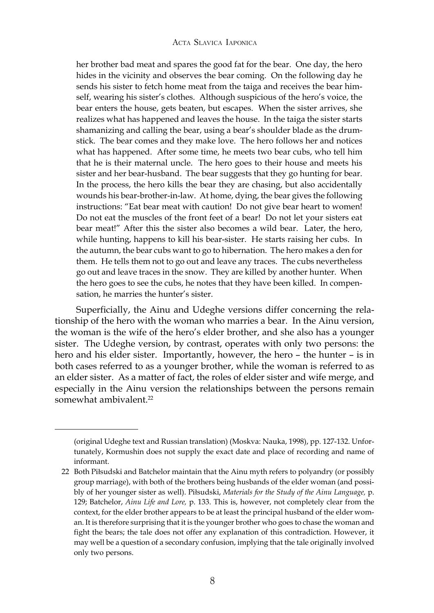her brother bad meat and spares the good fat for the bear. One day, the hero hides in the vicinity and observes the bear coming. On the following day he sends his sister to fetch home meat from the taiga and receives the bear himself, wearing his sister's clothes. Although suspicious of the hero's voice, the bear enters the house, gets beaten, but escapes. When the sister arrives, she realizes what has happened and leaves the house. In the taiga the sister starts shamanizing and calling the bear, using a bear's shoulder blade as the drumstick. The bear comes and they make love. The hero follows her and notices what has happened. After some time, he meets two bear cubs, who tell him that he is their maternal uncle. The hero goes to their house and meets his sister and her bear-husband. The bear suggests that they go hunting for bear. In the process, the hero kills the bear they are chasing, but also accidentally wounds his bear-brother-in-law. At home, dying, the bear gives the following instructions: "Eat bear meat with caution! Do not give bear heart to women! Do not eat the muscles of the front feet of a bear! Do not let your sisters eat bear meat!" After this the sister also becomes a wild bear. Later, the hero, while hunting, happens to kill his bear-sister. He starts raising her cubs. In the autumn, the bear cubs want to go to hibernation. The hero makes a den for them. He tells them not to go out and leave any traces. The cubs nevertheless go out and leave traces in the snow. They are killed by another hunter. When the hero goes to see the cubs, he notes that they have been killed. In compensation, he marries the hunter's sister.

Superficially, the Ainu and Udeghe versions differ concerning the relationship of the hero with the woman who marries a bear. In the Ainu version, the woman is the wife of the hero's elder brother, and she also has a younger sister. The Udeghe version, by contrast, operates with only two persons: the hero and his elder sister. Importantly, however, the hero – the hunter – is in both cases referred to as a younger brother, while the woman is referred to as an elder sister. As a matter of fact, the roles of elder sister and wife merge, and especially in the Ainu version the relationships between the persons remain somewhat ambivalent.<sup>22</sup>

<sup>(</sup>original Udeghe text and Russian translation) (Moskva: Nauka, 1998), pp. 127-132. Unfortunately, Kormushin does not supply the exact date and place of recording and name of informant.

<sup>22</sup> Both Piłsudski and Batchelor maintain that the Ainu myth refers to polyandry (or possibly group marriage), with both of the brothers being husbands of the elder woman (and possibly of her younger sister as well). Piłsudski, *Materials for the Study of the Ainu Language,* p. 129; Batchelor, *Ainu Life and Lore,* p. 133. This is, however, not completely clear from the context, for the elder brother appears to be at least the principal husband of the elder woman. It is therefore surprising that it is the younger brother who goes to chase the woman and fight the bears; the tale does not offer any explanation of this contradiction. However, it may well be a question of a secondary confusion, implying that the tale originally involved only two persons.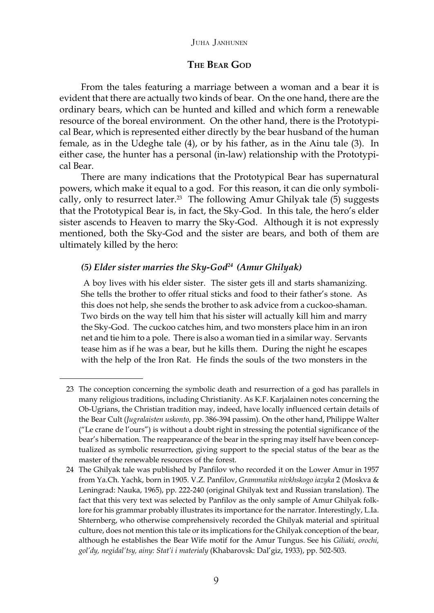## **THE BEAR GOD**

From the tales featuring a marriage between a woman and a bear it is evident that there are actually two kinds of bear. On the one hand, there are the ordinary bears, which can be hunted and killed and which form a renewable resource of the boreal environment. On the other hand, there is the Prototypical Bear, which is represented either directly by the bear husband of the human female, as in the Udeghe tale (4), or by his father, as in the Ainu tale (3). In either case, the hunter has a personal (in-law) relationship with the Prototypical Bear.

There are many indications that the Prototypical Bear has supernatural powers, which make it equal to a god. For this reason, it can die only symbolically, only to resurrect later.<sup>23</sup> The following Amur Ghilyak tale  $(5)$  suggests that the Prototypical Bear is, in fact, the Sky-God. In this tale, the hero's elder sister ascends to Heaven to marry the Sky-God. Although it is not expressly mentioned, both the Sky-God and the sister are bears, and both of them are ultimately killed by the hero:

## *(5) Elder sister marries the Sky-God24 (Amur Ghilyak)*

A boy lives with his elder sister. The sister gets ill and starts shamanizing. She tells the brother to offer ritual sticks and food to their father's stone. As this does not help, she sends the brother to ask advice from a cuckoo-shaman. Two birds on the way tell him that his sister will actually kill him and marry the Sky-God. The cuckoo catches him, and two monsters place him in an iron net and tie him to a pole. There is also a woman tied in a similar way. Servants tease him as if he was a bear, but he kills them. During the night he escapes with the help of the Iron Rat. He finds the souls of the two monsters in the

<sup>23</sup> The conception concerning the symbolic death and resurrection of a god has parallels in many religious traditions, including Christianity. As K.F. Karjalainen notes concerning the Ob-Ugrians, the Christian tradition may, indeed, have locally influenced certain details of the Bear Cult (*Jugralaisten uskonto,* pp. 386-394 passim)*.* On the other hand, Philippe Walter ("Le crane de l'ours") is without a doubt right in stressing the potential significance of the bear's hibernation. The reappearance of the bear in the spring may itself have been conceptualized as symbolic resurrection, giving support to the special status of the bear as the master of the renewable resources of the forest.

<sup>24</sup> The Ghilyak tale was published by Panfilov who recorded it on the Lower Amur in 1957 from Ya.Ch. Yachk, born in 1905. V.Z. Panfilov, *Grammatika nivkhskogo iazyka* 2 (Moskva & Leningrad: Nauka, 1965), pp. 222-240 (original Ghilyak text and Russian translation). The fact that this very text was selected by Panfilov as the only sample of Amur Ghilyak folklore for his grammar probably illustrates its importance for the narrator. Interestingly, L.Ia. Shternberg, who otherwise comprehensively recorded the Ghilyak material and spiritual culture, does not mention this tale or its implications for the Ghilyak conception of the bear, although he establishes the Bear Wife motif for the Amur Tungus. See his *Giliaki, orochi, gol'dy, negidal'tsy, ainy: Stat'i i materialy* (Khabarovsk: Dal'giz, 1933), pp. 502-503.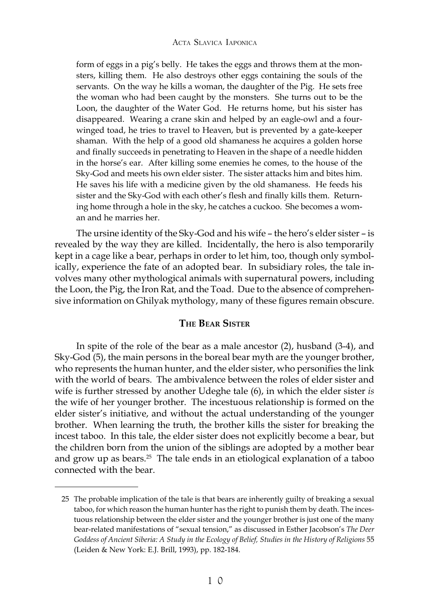#### ACTA SLAVICA IAPONICA

form of eggs in a pig's belly. He takes the eggs and throws them at the monsters, killing them. He also destroys other eggs containing the souls of the servants. On the way he kills a woman, the daughter of the Pig. He sets free the woman who had been caught by the monsters. She turns out to be the Loon, the daughter of the Water God. He returns home, but his sister has disappeared. Wearing a crane skin and helped by an eagle-owl and a fourwinged toad, he tries to travel to Heaven, but is prevented by a gate-keeper shaman. With the help of a good old shamaness he acquires a golden horse and finally succeeds in penetrating to Heaven in the shape of a needle hidden in the horse's ear. After killing some enemies he comes, to the house of the Sky-God and meets his own elder sister. The sister attacks him and bites him. He saves his life with a medicine given by the old shamaness. He feeds his sister and the Sky-God with each other's flesh and finally kills them. Returning home through a hole in the sky, he catches a cuckoo. She becomes a woman and he marries her.

The ursine identity of the Sky-God and his wife – the hero's elder sister – is revealed by the way they are killed. Incidentally, the hero is also temporarily kept in a cage like a bear, perhaps in order to let him, too, though only symbolically, experience the fate of an adopted bear. In subsidiary roles, the tale involves many other mythological animals with supernatural powers, including the Loon, the Pig, the Iron Rat, and the Toad. Due to the absence of comprehensive information on Ghilyak mythology, many of these figures remain obscure.

#### **THE BEAR SISTER**

In spite of the role of the bear as a male ancestor (2), husband (3-4), and Sky-God (5), the main persons in the boreal bear myth are the younger brother, who represents the human hunter, and the elder sister, who personifies the link with the world of bears. The ambivalence between the roles of elder sister and wife is further stressed by another Udeghe tale (6), in which the elder sister *is* the wife of her younger brother. The incestuous relationship is formed on the elder sister's initiative, and without the actual understanding of the younger brother. When learning the truth, the brother kills the sister for breaking the incest taboo. In this tale, the elder sister does not explicitly become a bear, but the children born from the union of the siblings are adopted by a mother bear and grow up as bears. $25$  The tale ends in an etiological explanation of a taboo connected with the bear.

<sup>25</sup> The probable implication of the tale is that bears are inherently guilty of breaking a sexual taboo, for which reason the human hunter has the right to punish them by death. The incestuous relationship between the elder sister and the younger brother is just one of the many bear-related manifestations of "sexual tension," as discussed in Esther Jacobson's *The Deer Goddess of Ancient Siberia: A Study in the Ecology of Belief, Studies in the History of Religions* 55 (Leiden & New York: E.J. Brill, 1993), pp. 182-184.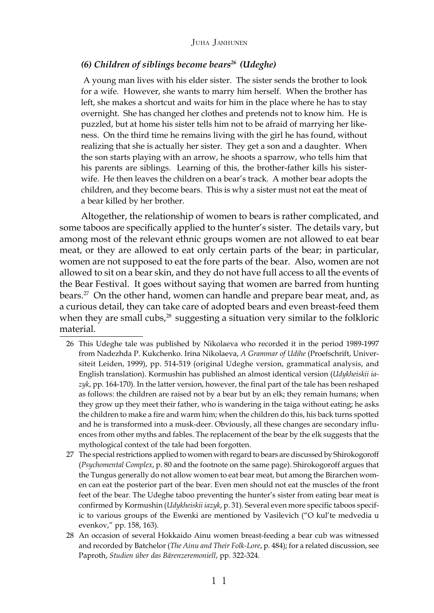#### *(6) Children of siblings become bears26 (Udeghe)*

A young man lives with his elder sister. The sister sends the brother to look for a wife. However, she wants to marry him herself. When the brother has left, she makes a shortcut and waits for him in the place where he has to stay overnight. She has changed her clothes and pretends not to know him. He is puzzled, but at home his sister tells him not to be afraid of marrying her likeness. On the third time he remains living with the girl he has found, without realizing that she is actually her sister. They get a son and a daughter. When the son starts playing with an arrow, he shoots a sparrow, who tells him that his parents are siblings. Learning of this, the brother-father kills his sisterwife. He then leaves the children on a bear's track. A mother bear adopts the children, and they become bears. This is why a sister must not eat the meat of a bear killed by her brother.

Altogether, the relationship of women to bears is rather complicated, and some taboos are specifically applied to the hunter's sister. The details vary, but among most of the relevant ethnic groups women are not allowed to eat bear meat, or they are allowed to eat only certain parts of the bear; in particular, women are not supposed to eat the fore parts of the bear. Also, women are not allowed to sit on a bear skin, and they do not have full access to all the events of the Bear Festival. It goes without saying that women are barred from hunting bears.<sup>27</sup> On the other hand, women can handle and prepare bear meat, and, as a curious detail, they can take care of adopted bears and even breast-feed them when they are small cubs,<sup>28</sup> suggesting a situation very similar to the folkloric material.

- 26 This Udeghe tale was published by Nikolaeva who recorded it in the period 1989-1997 from Nadezhda P. Kukchenko. Irina Nikolaeva, *A Grammar of Udihe* (Proefschrift, Universiteit Leiden, 1999), pp. 514-519 (original Udeghe version, grammatical analysis, and English translation). Kormushin has published an almost identical version (*Udykheiskii iazyk*, pp. 164-170). In the latter version, however, the final part of the tale has been reshaped as follows: the children are raised not by a bear but by an elk; they remain humans; when they grow up they meet their father, who is wandering in the taiga without eating; he asks the children to make a fire and warm him; when the children do this, his back turns spotted and he is transformed into a musk-deer. Obviously, all these changes are secondary influences from other myths and fables. The replacement of the bear by the elk suggests that the mythological context of the tale had been forgotten.
- 27 The special restrictions applied to women with regard to bears are discussed by Shirokogoroff (*Psychomental Complex*, p. 80 and the footnote on the same page). Shirokogoroff argues that the Tungus generally do not allow women to eat bear meat, but among the Birarchen women can eat the posterior part of the bear. Even men should not eat the muscles of the front feet of the bear. The Udeghe taboo preventing the hunter's sister from eating bear meat is confirmed by Kormushin (*Udykheiskii iazyk*, p. 31). Several even more specific taboos specific to various groups of the Ewenki are mentioned by Vasilevich ("O kul'te medvedia u evenkov," pp. 158, 163).
- 28 An occasion of several Hokkaido Ainu women breast-feeding a bear cub was witnessed and recorded by Batchelor (*The Ainu and Their Folk-Lore*, p. 484); for a related discussion, see Paproth, *Studien über das Bärenzeremoniell*, pp. 322-324.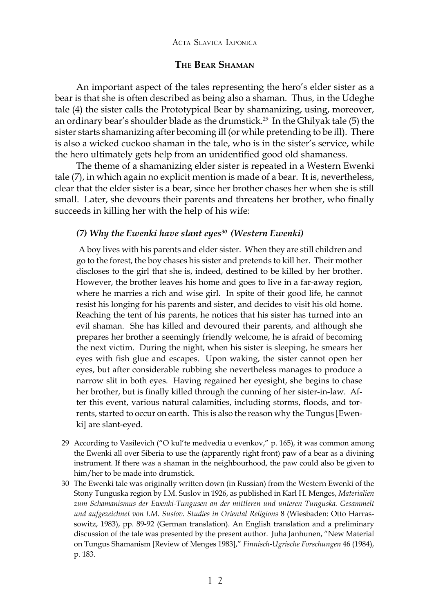## **THE BEAR SHAMAN**

An important aspect of the tales representing the hero's elder sister as a bear is that she is often described as being also a shaman. Thus, in the Udeghe tale (4) the sister calls the Prototypical Bear by shamanizing, using, moreover, an ordinary bear's shoulder blade as the drumstick.<sup>29</sup> In the Ghilyak tale (5) the sister starts shamanizing after becoming ill (or while pretending to be ill). There is also a wicked cuckoo shaman in the tale, who is in the sister's service, while the hero ultimately gets help from an unidentified good old shamaness.

The theme of a shamanizing elder sister is repeated in a Western Ewenki tale (7), in which again no explicit mention is made of a bear. It is, nevertheless, clear that the elder sister is a bear, since her brother chases her when she is still small. Later, she devours their parents and threatens her brother, who finally succeeds in killing her with the help of his wife:

#### *(7) Why the Ewenki have slant eyes30 (Western Ewenki)*

A boy lives with his parents and elder sister. When they are still children and go to the forest, the boy chases his sister and pretends to kill her. Their mother discloses to the girl that she is, indeed, destined to be killed by her brother. However, the brother leaves his home and goes to live in a far-away region, where he marries a rich and wise girl. In spite of their good life, he cannot resist his longing for his parents and sister, and decides to visit his old home. Reaching the tent of his parents, he notices that his sister has turned into an evil shaman. She has killed and devoured their parents, and although she prepares her brother a seemingly friendly welcome, he is afraid of becoming the next victim. During the night, when his sister is sleeping, he smears her eyes with fish glue and escapes. Upon waking, the sister cannot open her eyes, but after considerable rubbing she nevertheless manages to produce a narrow slit in both eyes. Having regained her eyesight, she begins to chase her brother, but is finally killed through the cunning of her sister-in-law. After this event, various natural calamities, including storms, floods, and torrents, started to occur on earth. This is also the reason why the Tungus [Ewenki] are slant-eyed.

<sup>29</sup> According to Vasilevich ("O kul'te medvedia u evenkov," p. 165), it was common among the Ewenki all over Siberia to use the (apparently right front) paw of a bear as a divining instrument. If there was a shaman in the neighbourhood, the paw could also be given to him/her to be made into drumstick.

<sup>30</sup> The Ewenki tale was originally written down (in Russian) from the Western Ewenki of the Stony Tunguska region by I.M. Suslov in 1926, as published in Karl H. Menges, *Materialien zum Schamanismus der Ewenki-Tungusen an der mittleren und unteren Tunguska. Gesammelt und aufgezeichnet von I.M. Susłov. Studies in Oriental Religions* 8 (Wiesbaden: Otto Harrassowitz, 1983), pp. 89-92 (German translation). An English translation and a preliminary discussion of the tale was presented by the present author. Juha Janhunen, "New Material on Tungus Shamanism [Review of Menges 1983]," *Finnisch-Ugrische Forschungen* 46 (1984), p. 183.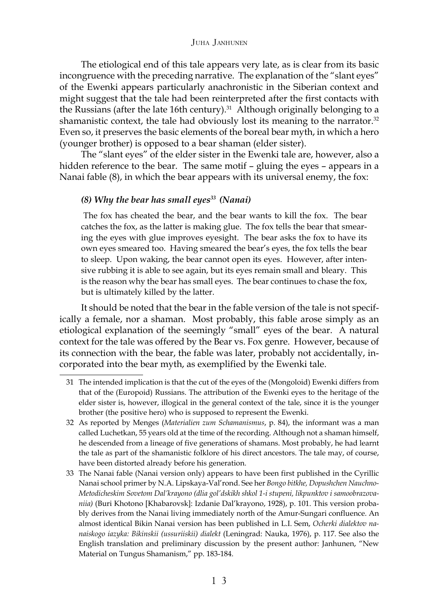The etiological end of this tale appears very late, as is clear from its basic incongruence with the preceding narrative. The explanation of the "slant eyes" of the Ewenki appears particularly anachronistic in the Siberian context and might suggest that the tale had been reinterpreted after the first contacts with the Russians (after the late 16th century). $31$  Although originally belonging to a shamanistic context, the tale had obviously lost its meaning to the narrator. $32$ Even so, it preserves the basic elements of the boreal bear myth, in which a hero (younger brother) is opposed to a bear shaman (elder sister).

The "slant eyes" of the elder sister in the Ewenki tale are, however, also a hidden reference to the bear. The same motif – gluing the eyes – appears in a Nanai fable (8), in which the bear appears with its universal enemy, the fox:

## *(8) Why the bear has small eyes33 (Nanai)*

The fox has cheated the bear, and the bear wants to kill the fox. The bear catches the fox, as the latter is making glue. The fox tells the bear that smearing the eyes with glue improves eyesight. The bear asks the fox to have its own eyes smeared too. Having smeared the bear's eyes, the fox tells the bear to sleep. Upon waking, the bear cannot open its eyes. However, after intensive rubbing it is able to see again, but its eyes remain small and bleary. This is the reason why the bear has small eyes. The bear continues to chase the fox, but is ultimately killed by the latter.

It should be noted that the bear in the fable version of the tale is not specifically a female, nor a shaman. Most probably, this fable arose simply as an etiological explanation of the seemingly "small" eyes of the bear. A natural context for the tale was offered by the Bear vs. Fox genre. However, because of its connection with the bear, the fable was later, probably not accidentally, incorporated into the bear myth, as exemplified by the Ewenki tale.

<sup>31</sup> The intended implication is that the cut of the eyes of the (Mongoloid) Ewenki differs from that of the (Europoid) Russians. The attribution of the Ewenki eyes to the heritage of the elder sister is, however, illogical in the general context of the tale, since it is the younger brother (the positive hero) who is supposed to represent the Ewenki.

<sup>32</sup> As reported by Menges (*Materialien zum Schamanismus*, p. 84), the informant was a man called Luchetkan, 55 years old at the time of the recording. Although not a shaman himself, he descended from a lineage of five generations of shamans. Most probably, he had learnt the tale as part of the shamanistic folklore of his direct ancestors. The tale may, of course, have been distorted already before his generation.

<sup>33</sup> The Nanai fable (Nanai version only) appears to have been first published in the Cyrillic Nanai school primer by N.A. Lipskaya-Val'rond. See her *Bongo bitkhe, Dopushchen Nauchno-Metodicheskim Sovetom Dal'krayono (dlia gol'dskikh shkol 1-i stupeni, likpunktov i samoobrazovaniia)* (Buri Khotono [Khabarovsk]: Izdanie Dal'krayono, 1928), p. 101. This version probably derives from the Nanai living immediately north of the Amur-Sungari confluence. An almost identical Bikin Nanai version has been published in L.I. Sem, *Ocherki dialektov nanaiskogo iazyka: Bikinskii (ussuriiskii) dialekt* (Leningrad: Nauka, 1976), p. 117. See also the English translation and preliminary discussion by the present author: Janhunen, "New Material on Tungus Shamanism," pp. 183-184.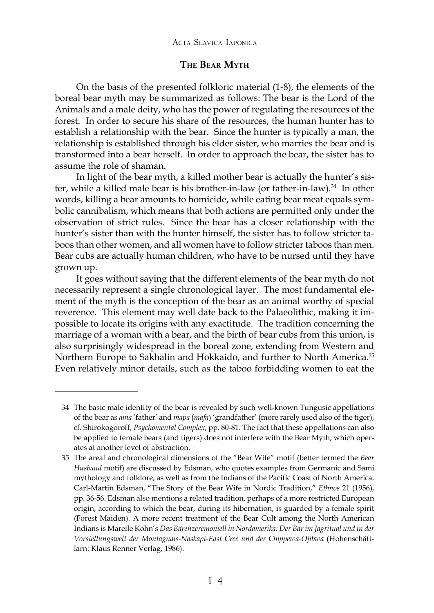## **THE BEAR MYTH**

On the basis of the presented folkloric material (1-8), the elements of the boreal bear myth may be summarized as follows: The bear is the Lord of the Animals and a male deity, who has the power of regulating the resources of the forest. In order to secure his share of the resources, the human hunter has to establish a relationship with the bear. Since the hunter is typically a man, the relationship is established through his elder sister, who marries the bear and is transformed into a bear herself. In order to approach the bear, the sister has to assume the role of shaman.

In light of the bear myth, a killed mother bear is actually the hunter's sister, while a killed male bear is his brother-in-law (or father-in-law).<sup>34</sup> In other words, killing a bear amounts to homicide, while eating bear meat equals symbolic cannibalism, which means that both actions are permitted only under the observation of strict rules. Since the bear has a closer relationship with the hunter's sister than with the hunter himself, the sister has to follow stricter taboos than other women, and all women have to follow stricter taboos than men. Bear cubs are actually human children, who have to be nursed until they have grown up.

It goes without saying that the different elements of the bear myth do not necessarily represent a single chronological layer. The most fundamental element of the myth is the conception of the bear as an animal worthy of special reverence. This element may well date back to the Palaeolithic, making it impossible to locate its origins with any exactitude. The tradition concerning the marriage of a woman with a bear, and the birth of bear cubs from this union, is also surprisingly widespread in the boreal zone, extending from Western and Northern Europe to Sakhalin and Hokkaido, and further to North America.<sup>35</sup> Even relatively minor details, such as the taboo forbidding women to eat the

<sup>34</sup> The basic male identity of the bear is revealed by such well-known Tungusic appellations of the bear as *ama* 'father' and *mapa* (*mafa*) 'grandfather' (more rarely used also of the tiger), cf. Shirokogoroff, *Psychomental Complex*, pp*.* 80-81. The fact that these appellations can also be applied to female bears (and tigers) does not interfere with the Bear Myth, which operates at another level of abstraction.

<sup>35</sup> The areal and chronological dimensions of the "Bear Wife" motif (better termed the *Bear Husband* motif) are discussed by Edsman, who quotes examples from Germanic and Sami mythology and folklore, as well as from the Indians of the Pacific Coast of North America. Carl-Martin Edsman, "The Story of the Bear Wife in Nordic Tradition," *Ethnos* 21 (1956), pp. 36-56. Edsman also mentions a related tradition, perhaps of a more restricted European origin, according to which the bear, during its hibernation, is guarded by a female spirit (Forest Maiden). A more recent treatment of the Bear Cult among the North American Indians is Mareile Kohn's *Das Bärenzeremoniell in Nordamerika: Der Bär im Jagritual und in der Vorstellungswelt der Montagnais-Naskapi-East Cree und der Chippewa-Ojibwa* (Hohenschäftlarn: Klaus Renner Verlag, 1986).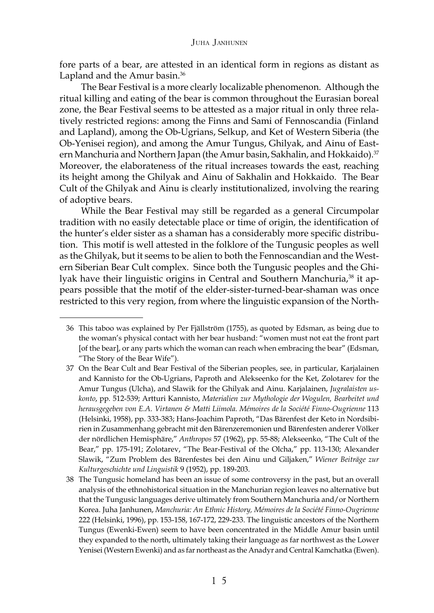fore parts of a bear, are attested in an identical form in regions as distant as Lapland and the Amur basin.<sup>36</sup>

The Bear Festival is a more clearly localizable phenomenon. Although the ritual killing and eating of the bear is common throughout the Eurasian boreal zone, the Bear Festival seems to be attested as a major ritual in only three relatively restricted regions: among the Finns and Sami of Fennoscandia (Finland and Lapland), among the Ob-Ugrians, Selkup, and Ket of Western Siberia (the Ob-Yenisei region), and among the Amur Tungus, Ghilyak, and Ainu of Eastern Manchuria and Northern Japan (the Amur basin, Sakhalin, and Hokkaido).<sup>37</sup> Moreover, the elaborateness of the ritual increases towards the east, reaching its height among the Ghilyak and Ainu of Sakhalin and Hokkaido. The Bear Cult of the Ghilyak and Ainu is clearly institutionalized, involving the rearing of adoptive bears.

While the Bear Festival may still be regarded as a general Circumpolar tradition with no easily detectable place or time of origin, the identification of the hunter's elder sister as a shaman has a considerably more specific distribution. This motif is well attested in the folklore of the Tungusic peoples as well as the Ghilyak, but it seems to be alien to both the Fennoscandian and the Western Siberian Bear Cult complex. Since both the Tungusic peoples and the Ghilyak have their linguistic origins in Central and Southern Manchuria,<sup>38</sup> it appears possible that the motif of the elder-sister-turned-bear-shaman was once restricted to this very region, from where the linguistic expansion of the North-

<sup>36</sup> This taboo was explained by Per Fjällström (1755), as quoted by Edsman, as being due to the woman's physical contact with her bear husband: "women must not eat the front part [of the bear], or any parts which the woman can reach when embracing the bear" (Edsman, "The Story of the Bear Wife").

<sup>37</sup> On the Bear Cult and Bear Festival of the Siberian peoples, see, in particular, Karjalainen and Kannisto for the Ob-Ugrians, Paproth and Alekseenko for the Ket, Zolotarev for the Amur Tungus (Ulcha), and Slawik for the Ghilyak and Ainu. Karjalainen, *Jugralaisten uskonto*, pp*.* 512-539; Artturi Kannisto, *Materialien zur Mythologie der Wogulen, Bearbeitet und herausgegeben von E.A. Virtanen & Matti Liimola. Mémoires de la Société Finno-Ougrienne* 113 (Helsinki, 1958), pp. 333-383; Hans-Joachim Paproth, "Das Bärenfest der Keto in Nordsibirien in Zusammenhang gebracht mit den Bärenzeremonien und Bärenfesten anderer Völker der nördlichen Hemisphäre," *Anthropos* 57 (1962), pp. 55-88; Alekseenko, "The Cult of the Bear," pp. 175-191; Zolotarev, "The Bear-Festival of the Olcha," pp. 113-130; Alexander Slawik, "Zum Problem des Bärenfestes bei den Ainu und Giljaken," *Wiener Beiträge zur Kulturgeschichte und Linguistik* 9 (1952), pp. 189-203.

<sup>38</sup> The Tungusic homeland has been an issue of some controversy in the past, but an overall analysis of the ethnohistorical situation in the Manchurian region leaves no alternative but that the Tungusic languages derive ultimately from Southern Manchuria and/or Northern Korea. Juha Janhunen, *Manchuria: An Ethnic History, Mémoires de la Société Finno-Ougrienne* 222 (Helsinki, 1996), pp. 153-158, 167-172, 229-233. The linguistic ancestors of the Northern Tungus (Ewenki-Ewen) seem to have been concentrated in the Middle Amur basin until they expanded to the north, ultimately taking their language as far northwest as the Lower Yenisei (Western Ewenki) and as far northeast as the Anadyr and Central Kamchatka (Ewen).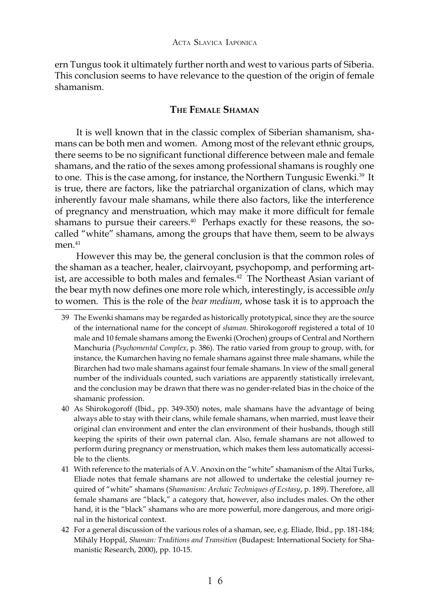ern Tungus took it ultimately further north and west to various parts of Siberia. This conclusion seems to have relevance to the question of the origin of female shamanism.

## **THE FEMALE SHAMAN**

It is well known that in the classic complex of Siberian shamanism, shamans can be both men and women. Among most of the relevant ethnic groups, there seems to be no significant functional difference between male and female shamans, and the ratio of the sexes among professional shamans is roughly one to one. This is the case among, for instance, the Northern Tungusic Ewenki.<sup>39</sup> It is true, there are factors, like the patriarchal organization of clans, which may inherently favour male shamans, while there also factors, like the interference of pregnancy and menstruation, which may make it more difficult for female shamans to pursue their careers.<sup>40</sup> Perhaps exactly for these reasons, the socalled "white" shamans, among the groups that have them, seem to be always men.<sup>41</sup>

However this may be, the general conclusion is that the common roles of the shaman as a teacher, healer, clairvoyant, psychopomp, and performing artist, are accessible to both males and females.<sup>42</sup> The Northeast Asian variant of the bear myth now defines one more role which, interestingly, is accessible *only* to women. This is the role of the *bear medium*, whose task it is to approach the

<sup>39</sup> The Ewenki shamans may be regarded as historically prototypical, since they are the source of the international name for the concept of *shaman.* Shirokogoroff registered a total of 10 male and 10 female shamans among the Ewenki (Orochen) groups of Central and Northern Manchuria (*Psychomental Complex*, p. 386)*.* The ratio varied from group to group, with, for instance, the Kumarchen having no female shamans against three male shamans, while the Birarchen had two male shamans against four female shamans. In view of the small general number of the individuals counted, such variations are apparently statistically irrelevant, and the conclusion may be drawn that there was no gender-related bias in the choice of the shamanic profession.

<sup>40</sup> As Shirokogoroff (Ibid., pp. 349-350) notes, male shamans have the advantage of being always able to stay with their clans, while female shamans, when married, must leave their original clan environment and enter the clan environment of their husbands, though still keeping the spirits of their own paternal clan. Also, female shamans are not allowed to perform during pregnancy or menstruation, which makes them less automatically accessible to the clients.

<sup>41</sup> With reference to the materials of A.V. Anoxin on the "white" shamanism of the Altai Turks, Eliade notes that female shamans are not allowed to undertake the celestial journey required of "white" shamans (*Shamanism: Archaic Techniques of Ecstasy*, p. 189). Therefore, all female shamans are "black," a category that, however, also includes males. On the other hand, it is the "black" shamans who are more powerful, more dangerous, and more original in the historical context.

<sup>42</sup> For a general discussion of the various roles of a shaman, see, e.g. Eliade, Ibid., pp. 181-184; Mihály Hoppál, *Shaman: Traditions and Transition* (Budapest: International Society for Shamanistic Research, 2000), pp. 10-15.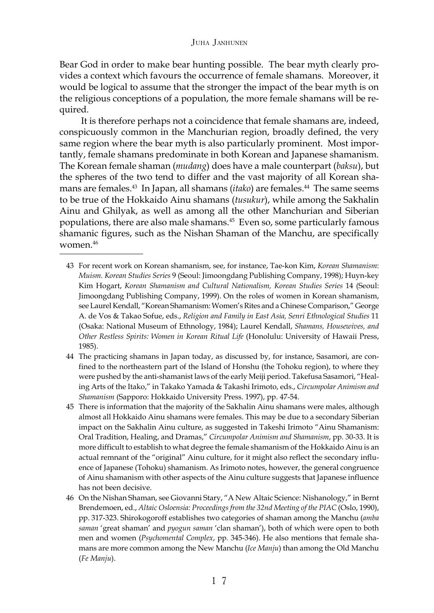Bear God in order to make bear hunting possible. The bear myth clearly provides a context which favours the occurrence of female shamans. Moreover, it would be logical to assume that the stronger the impact of the bear myth is on the religious conceptions of a population, the more female shamans will be required.

It is therefore perhaps not a coincidence that female shamans are, indeed, conspicuously common in the Manchurian region, broadly defined, the very same region where the bear myth is also particularly prominent. Most importantly, female shamans predominate in both Korean and Japanese shamanism. The Korean female shaman (*mudang*) does have a male counterpart (*baksu*), but the spheres of the two tend to differ and the vast majority of all Korean shamans are females.<sup>43</sup> In Japan, all shamans (*itako*) are females.<sup>44</sup> The same seems to be true of the Hokkaido Ainu shamans (*tusukur*), while among the Sakhalin Ainu and Ghilyak, as well as among all the other Manchurian and Siberian populations, there are also male shamans.45 Even so, some particularly famous shamanic figures, such as the Nishan Shaman of the Manchu, are specifically women.46

<sup>43</sup> For recent work on Korean shamanism, see, for instance, Tae-kon Kim, *Korean Shamanism*: *Muism. Korean Studies Series* 9 (Seoul: Jimoongdang Publishing Company, 1998); Huyn-key Kim Hogart, *Korean Shamanism and Cultural Nationalism, Korean Studies Series* 14 (Seoul: Jimoongdang Publishing Company, 1999). On the roles of women in Korean shamanism, see Laurel Kendall, "Korean Shamanism: Women's Rites and a Chinese Comparison," George A. de Vos & Takao Sofue, eds., *Religion and Family in East Asia, Senri Ethnological Studies* 11 (Osaka: National Museum of Ethnology, 1984); Laurel Kendall, *Shamans, Housewives, and Other Restless Spirits: Women in Korean Ritual Life* (Honolulu: University of Hawaii Press, 1985).

<sup>44</sup> The practicing shamans in Japan today, as discussed by, for instance, Sasamori, are confined to the northeastern part of the Island of Honshu (the Tohoku region), to where they were pushed by the anti-shamanist laws of the early Meiji period. Takefusa Sasamori, "Healing Arts of the Itako," in Takako Yamada & Takashi Irimoto, eds., *Circumpolar Animism and Shamanism* (Sapporo: Hokkaido University Press. 1997), pp. 47-54.

<sup>45</sup> There is information that the majority of the Sakhalin Ainu shamans were males, although almost all Hokkaido Ainu shamans were females. This may be due to a secondary Siberian impact on the Sakhalin Ainu culture, as suggested in Takeshi Irimoto "Ainu Shamanism: Oral Tradition, Healing, and Dramas," *Circumpolar Animism and Shamanism*, pp*.* 30-33. It is more difficult to establish to what degree the female shamanism of the Hokkaido Ainu is an actual remnant of the "original" Ainu culture, for it might also reflect the secondary influence of Japanese (Tohoku) shamanism. As Irimoto notes, however, the general congruence of Ainu shamanism with other aspects of the Ainu culture suggests that Japanese influence has not been decisive.

<sup>46</sup> On the Nishan Shaman, see Giovanni Stary, "A New Altaic Science: Nishanology," in Bernt Brendemoen, ed., *Altaic Osloensia: Proceedings from the 32nd Meeting of the PIAC* (Oslo, 1990), pp. 317-323. Shirokogoroff establishes two categories of shaman among the Manchu (*amba saman* 'great shaman' and *pyogun saman* 'clan shaman'), both of which were open to both men and women (*Psychomental Complex*, pp*.* 345-346). He also mentions that female shamans are more common among the New Manchu (*Ice Manju*) than among the Old Manchu (*Fe Manju*).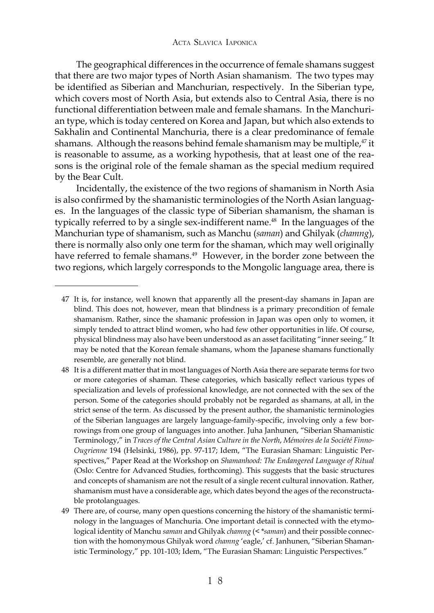The geographical differences in the occurrence of female shamans suggest that there are two major types of North Asian shamanism. The two types may be identified as Siberian and Manchurian, respectively. In the Siberian type, which covers most of North Asia, but extends also to Central Asia, there is no functional differentiation between male and female shamans. In the Manchurian type, which is today centered on Korea and Japan, but which also extends to Sakhalin and Continental Manchuria, there is a clear predominance of female shamans. Although the reasons behind female shamanism may be multiple, $47$  it is reasonable to assume, as a working hypothesis, that at least one of the reasons is the original role of the female shaman as the special medium required by the Bear Cult.

Incidentally, the existence of the two regions of shamanism in North Asia is also confirmed by the shamanistic terminologies of the North Asian languages. In the languages of the classic type of Siberian shamanism, the shaman is typically referred to by a single sex-indifferent name.<sup>48</sup> In the languages of the Manchurian type of shamanism, such as Manchu (*saman*) and Ghilyak (*chamng*), there is normally also only one term for the shaman, which may well originally have referred to female shamans.<sup>49</sup> However, in the border zone between the two regions, which largely corresponds to the Mongolic language area, there is

<sup>47</sup> It is, for instance, well known that apparently all the present-day shamans in Japan are blind. This does not, however, mean that blindness is a primary precondition of female shamanism. Rather, since the shamanic profession in Japan was open only to women, it simply tended to attract blind women, who had few other opportunities in life. Of course, physical blindness may also have been understood as an asset facilitating "inner seeing." It may be noted that the Korean female shamans, whom the Japanese shamans functionally resemble, are generally not blind.

<sup>48</sup> It is a different matter that in most languages of North Asia there are separate terms for two or more categories of shaman. These categories, which basically reflect various types of specialization and levels of professional knowledge, are not connected with the sex of the person. Some of the categories should probably not be regarded as shamans, at all, in the strict sense of the term. As discussed by the present author, the shamanistic terminologies of the Siberian languages are largely language-family-specific, involving only a few borrowings from one group of languages into another. Juha Janhunen, "Siberian Shamanistic Terminology," in *Traces of the Central Asian Culture in the North*, *Mémoires de la Société Finno-Ougrienne* 194 (Helsinki, 1986), pp. 97-117; Idem, "The Eurasian Shaman: Linguistic Perspectives," Paper Read at the Workshop on *Shamanhood: The Endangered Language of Ritual* (Oslo: Centre for Advanced Studies, forthcoming). This suggests that the basic structures and concepts of shamanism are not the result of a single recent cultural innovation. Rather, shamanism must have a considerable age, which dates beyond the ages of the reconstructable protolanguages.

<sup>49</sup> There are, of course, many open questions concerning the history of the shamanistic terminology in the languages of Manchuria. One important detail is connected with the etymological identity of Manchu *saman* and Ghilyak *chamng* (< \**saman*) and their possible connection with the homonymous Ghilyak word *chamng* 'eagle,' cf. Janhunen, "Siberian Shamanistic Terminology," pp. 101-103; Idem, "The Eurasian Shaman: Linguistic Perspectives."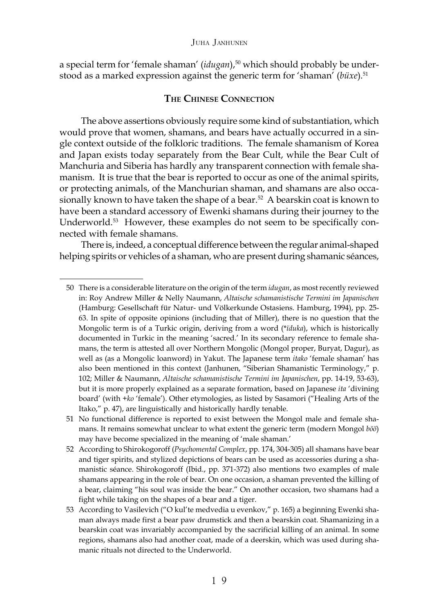a special term for 'female shaman' (*idugan*),<sup>50</sup> which should probably be understood as a marked expression against the generic term for 'shaman' (büxe).<sup>51</sup>

## **THE CHINESE CONNECTION**

The above assertions obviously require some kind of substantiation, which would prove that women, shamans, and bears have actually occurred in a single context outside of the folkloric traditions. The female shamanism of Korea and Japan exists today separately from the Bear Cult, while the Bear Cult of Manchuria and Siberia has hardly any transparent connection with female shamanism. It is true that the bear is reported to occur as one of the animal spirits, or protecting animals, of the Manchurian shaman, and shamans are also occasionally known to have taken the shape of a bear.<sup>52</sup> A bearskin coat is known to have been a standard accessory of Ewenki shamans during their journey to the Underworld.<sup>53</sup> However, these examples do not seem to be specifically connected with female shamans.

There is, indeed, a conceptual difference between the regular animal-shaped helping spirits or vehicles of a shaman, who are present during shamanic séances,

<sup>50</sup> There is a considerable literature on the origin of the term *idugan*, as most recently reviewed in: Roy Andrew Miller & Nelly Naumann, *Altaische schamanistische Termini im Japanischen* (Hamburg: Gesellschaft für Natur- und Völkerkunde Ostasiens. Hamburg, 1994), pp. 25- 63. In spite of opposite opinions (including that of Miller), there is no question that the Mongolic term is of a Turkic origin, deriving from a word (\**ïduka*), which is historically documented in Turkic in the meaning 'sacred.' In its secondary reference to female shamans, the term is attested all over Northern Mongolic (Mongol proper, Buryat, Dagur), as well as (as a Mongolic loanword) in Yakut. The Japanese term *itako* 'female shaman' has also been mentioned in this context (Janhunen, "Siberian Shamanistic Terminology," p. 102; Miller & Naumann, *Altaische schamanistische Termini im Japanischen*, pp. 14-19, 53-63), but it is more properly explained as a separate formation, based on Japanese *ita* 'divining board' (with +*ko* 'female'). Other etymologies, as listed by Sasamori ("Healing Arts of the Itako," p. 47), are linguistically and historically hardly tenable.

<sup>51</sup> No functional difference is reported to exist between the Mongol male and female shamans. It remains somewhat unclear to what extent the generic term (modern Mongol *böö*) may have become specialized in the meaning of 'male shaman.'

<sup>52</sup> According to Shirokogoroff (*Psychomental Complex*, pp*.* 174, 304-305) all shamans have bear and tiger spirits, and stylized depictions of bears can be used as accessories during a shamanistic séance. Shirokogoroff (Ibid., pp. 371-372) also mentions two examples of male shamans appearing in the role of bear. On one occasion, a shaman prevented the killing of a bear, claiming "his soul was inside the bear." On another occasion, two shamans had a fight while taking on the shapes of a bear and a tiger.

<sup>53</sup> According to Vasilevich ("O kul'te medvedia u evenkov," p. 165) a beginning Ewenki shaman always made first a bear paw drumstick and then a bearskin coat. Shamanizing in a bearskin coat was invariably accompanied by the sacrificial killing of an animal. In some regions, shamans also had another coat, made of a deerskin, which was used during shamanic rituals not directed to the Underworld.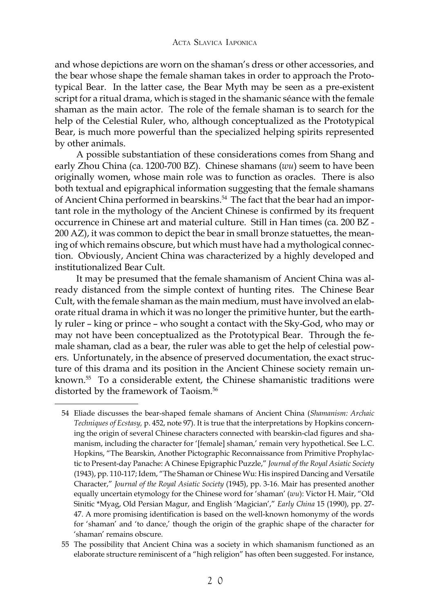and whose depictions are worn on the shaman's dress or other accessories, and the bear whose shape the female shaman takes in order to approach the Prototypical Bear. In the latter case, the Bear Myth may be seen as a pre-existent script for a ritual drama, which is staged in the shamanic séance with the female shaman as the main actor. The role of the female shaman is to search for the help of the Celestial Ruler, who, although conceptualized as the Prototypical Bear, is much more powerful than the specialized helping spirits represented by other animals.

A possible substantiation of these considerations comes from Shang and early Zhou China (ca. 1200-700 BZ). Chinese shamans (*wu*) seem to have been originally women, whose main role was to function as oracles. There is also both textual and epigraphical information suggesting that the female shamans of Ancient China performed in bearskins.<sup>54</sup> The fact that the bear had an important role in the mythology of the Ancient Chinese is confirmed by its frequent occurrence in Chinese art and material culture. Still in Han times (ca. 200 BZ - 200 AZ), it was common to depict the bear in small bronze statuettes, the meaning of which remains obscure, but which must have had a mythological connection. Obviously, Ancient China was characterized by a highly developed and institutionalized Bear Cult.

It may be presumed that the female shamanism of Ancient China was already distanced from the simple context of hunting rites. The Chinese Bear Cult, with the female shaman as the main medium, must have involved an elaborate ritual drama in which it was no longer the primitive hunter, but the earthly ruler – king or prince – who sought a contact with the Sky-God, who may or may not have been conceptualized as the Prototypical Bear. Through the female shaman, clad as a bear, the ruler was able to get the help of celestial powers. Unfortunately, in the absence of preserved documentation, the exact structure of this drama and its position in the Ancient Chinese society remain unknown.<sup>55</sup> To a considerable extent, the Chinese shamanistic traditions were distorted by the framework of Taoism.<sup>56</sup>

<sup>54</sup> Eliade discusses the bear-shaped female shamans of Ancient China (*Shamanism: Archaic Techniques of Ecstasy,* p. 452, note 97). It is true that the interpretations by Hopkins concerning the origin of several Chinese characters connected with bearskin-clad figures and shamanism, including the character for '[female] shaman,' remain very hypothetical. See L.C. Hopkins, "The Bearskin, Another Pictographic Reconnaissance from Primitive Prophylactic to Present-day Panache: A Chinese Epigraphic Puzzle," *Journal of the Royal Asiatic Society* (1943), pp. 110-117; Idem, "The Shaman or Chinese Wu: His inspired Dancing and Versatile Character," *Journal of the Royal Asiatic Society* (1945), pp. 3-16. Mair has presented another equally uncertain etymology for the Chinese word for 'shaman' (*wu*): Victor H. Mair, "Old Sinitic \*Myag, Old Persian Magur, and English 'Magician'," *Early China* 15 (1990), pp. 27- 47. A more promising identification is based on the well-known homonymy of the words for 'shaman' and 'to dance,' though the origin of the graphic shape of the character for 'shaman' remains obscure.

<sup>55</sup> The possibility that Ancient China was a society in which shamanism functioned as an elaborate structure reminiscent of a "high religion" has often been suggested. For instance,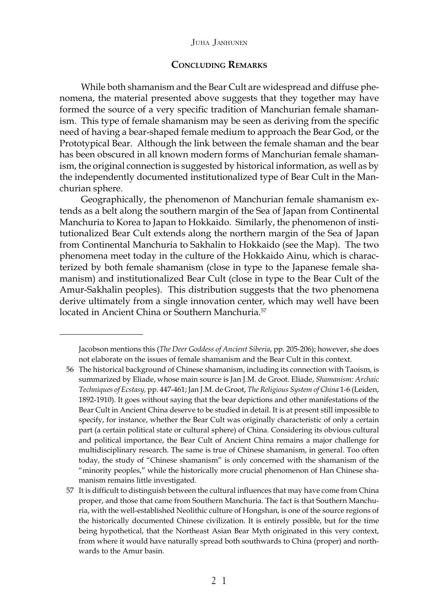## **CONCLUDING REMARKS**

While both shamanism and the Bear Cult are widespread and diffuse phenomena, the material presented above suggests that they together may have formed the source of a very specific tradition of Manchurian female shamanism. This type of female shamanism may be seen as deriving from the specific need of having a bear-shaped female medium to approach the Bear God, or the Prototypical Bear. Although the link between the female shaman and the bear has been obscured in all known modern forms of Manchurian female shamanism, the original connection is suggested by historical information, as well as by the independently documented institutionalized type of Bear Cult in the Manchurian sphere.

Geographically, the phenomenon of Manchurian female shamanism extends as a belt along the southern margin of the Sea of Japan from Continental Manchuria to Korea to Japan to Hokkaido. Similarly, the phenomenon of institutionalized Bear Cult extends along the northern margin of the Sea of Japan from Continental Manchuria to Sakhalin to Hokkaido (see the Map). The two phenomena meet today in the culture of the Hokkaido Ainu, which is characterized by both female shamanism (close in type to the Japanese female shamanism) and institutionalized Bear Cult (close in type to the Bear Cult of the Amur-Sakhalin peoples). This distribution suggests that the two phenomena derive ultimately from a single innovation center, which may well have been located in Ancient China or Southern Manchuria.<sup>57</sup>

Jacobson mentions this (*The Deer Goddess of Ancient Siberia*, pp*.* 205-206); however, she does not elaborate on the issues of female shamanism and the Bear Cult in this context.

<sup>56</sup> The historical background of Chinese shamanism, including its connection with Taoism, is summarized by Eliade, whose main source is Jan J.M. de Groot. Eliade, *Shamanism: Archaic Techniques of Ecstasy,* pp. 447-461; Jan J.M. de Groot, *The Religious System of China* 1-6 (Leiden, 1892-1910). It goes without saying that the bear depictions and other manifestations of the Bear Cult in Ancient China deserve to be studied in detail. It is at present still impossible to specify, for instance, whether the Bear Cult was originally characteristic of only a certain part (a certain political state or cultural sphere) of China. Considering its obvious cultural and political importance, the Bear Cult of Ancient China remains a major challenge for multidisciplinary research. The same is true of Chinese shamanism, in general. Too often today, the study of "Chinese shamanism" is only concerned with the shamanism of the "minority peoples," while the historically more crucial phenomenon of Han Chinese shamanism remains little investigated.

<sup>57</sup> It is difficult to distinguish between the cultural influences that may have come from China proper, and those that came from Southern Manchuria. The fact is that Southern Manchuria, with the well-established Neolithic culture of Hongshan, is one of the source regions of the historically documented Chinese civilization. It is entirely possible, but for the time being hypothetical, that the Northeast Asian Bear Myth originated in this very context, from where it would have naturally spread both southwards to China (proper) and northwards to the Amur basin.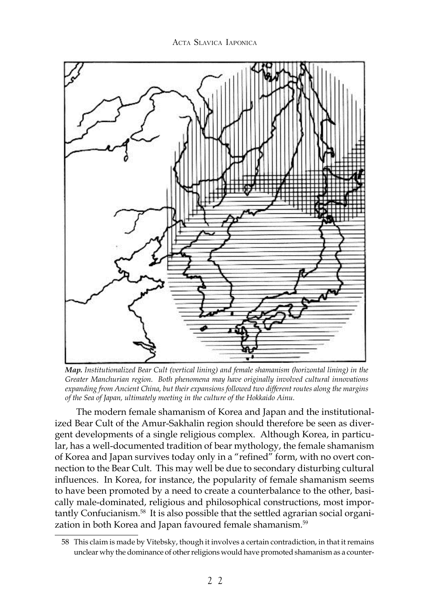

*Map. Institutionalized Bear Cult (vertical lining) and female shamanism (horizontal lining) in the Greater Manchurian region. Both phenomena may have originally involved cultural innovations expanding from Ancient China, but their expansions followed two different routes along the margins of the Sea of Japan, ultimately meeting in the culture of the Hokkaido Ainu.*

The modern female shamanism of Korea and Japan and the institutionalized Bear Cult of the Amur-Sakhalin region should therefore be seen as divergent developments of a single religious complex. Although Korea, in particular, has a well-documented tradition of bear mythology, the female shamanism of Korea and Japan survives today only in a "refined" form, with no overt connection to the Bear Cult. This may well be due to secondary disturbing cultural influences. In Korea, for instance, the popularity of female shamanism seems to have been promoted by a need to create a counterbalance to the other, basically male-dominated, religious and philosophical constructions, most importantly Confucianism.<sup>58</sup> It is also possible that the settled agrarian social organization in both Korea and Japan favoured female shamanism.<sup>59</sup>

<sup>58</sup> This claim is made by Vitebsky, though it involves a certain contradiction, in that it remains unclear why the dominance of other religions would have promoted shamanism as a counter-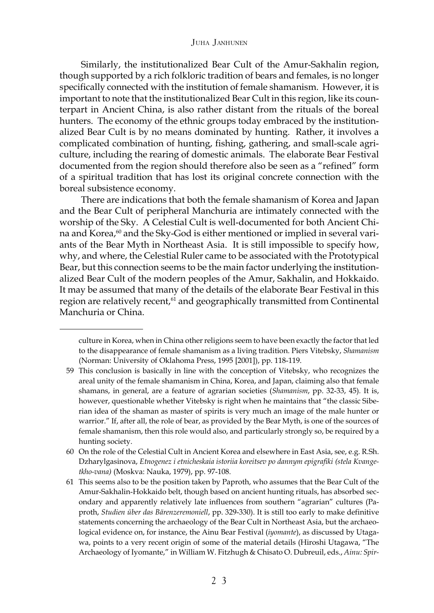Similarly, the institutionalized Bear Cult of the Amur-Sakhalin region, though supported by a rich folkloric tradition of bears and females, is no longer specifically connected with the institution of female shamanism. However, it is important to note that the institutionalized Bear Cult in this region, like its counterpart in Ancient China, is also rather distant from the rituals of the boreal hunters. The economy of the ethnic groups today embraced by the institutionalized Bear Cult is by no means dominated by hunting. Rather, it involves a complicated combination of hunting, fishing, gathering, and small-scale agriculture, including the rearing of domestic animals. The elaborate Bear Festival documented from the region should therefore also be seen as a "refined" form of a spiritual tradition that has lost its original concrete connection with the boreal subsistence economy.

There are indications that both the female shamanism of Korea and Japan and the Bear Cult of peripheral Manchuria are intimately connected with the worship of the Sky. A Celestial Cult is well-documented for both Ancient China and Korea,<sup>60</sup> and the Sky-God is either mentioned or implied in several variants of the Bear Myth in Northeast Asia. It is still impossible to specify how, why, and where, the Celestial Ruler came to be associated with the Prototypical Bear, but this connection seems to be the main factor underlying the institutionalized Bear Cult of the modern peoples of the Amur, Sakhalin, and Hokkaido. It may be assumed that many of the details of the elaborate Bear Festival in this region are relatively recent,<sup>61</sup> and geographically transmitted from Continental Manchuria or China.

culture in Korea, when in China other religions seem to have been exactly the factor that led to the disappearance of female shamanism as a living tradition. Piers Vitebsky, *Shamanism* (Norman: University of Oklahoma Press, 1995 [2001]), pp. 118-119.

<sup>59</sup> This conclusion is basically in line with the conception of Vitebsky, who recognizes the areal unity of the female shamanism in China, Korea, and Japan, claiming also that female shamans, in general, are a feature of agrarian societies (*Shamanism*, pp. 32-33, 45)*.* It is, however, questionable whether Vitebsky is right when he maintains that "the classic Siberian idea of the shaman as master of spirits is very much an image of the male hunter or warrior." If, after all, the role of bear, as provided by the Bear Myth, is one of the sources of female shamanism, then this role would also, and particularly strongly so, be required by a hunting society.

<sup>60</sup> On the role of the Celestial Cult in Ancient Korea and elsewhere in East Asia, see, e.g. R.Sh. Dzharylgasinova, *Etnogenez i etnicheskaia istoriia koreitsev po dannym epigrafiki (stela Kvangetkho-vana)* (Moskva: Nauka, 1979), pp. 97-108.

<sup>61</sup> This seems also to be the position taken by Paproth, who assumes that the Bear Cult of the Amur-Sakhalin-Hokkaido belt, though based on ancient hunting rituals, has absorbed secondary and apparently relatively late influences from southern "agrarian" cultures (Paproth, *Studien über das Bärenzeremoniell*, pp. 329-330). It is still too early to make definitive statements concerning the archaeology of the Bear Cult in Northeast Asia, but the archaeological evidence on, for instance, the Ainu Bear Festival (*iyomante*), as discussed by Utagawa, points to a very recent origin of some of the material details (Hiroshi Utagawa, "The Archaeology of Iyomante," in William W. Fitzhugh & Chisato O. Dubreuil, eds., *Ainu: Spir-*